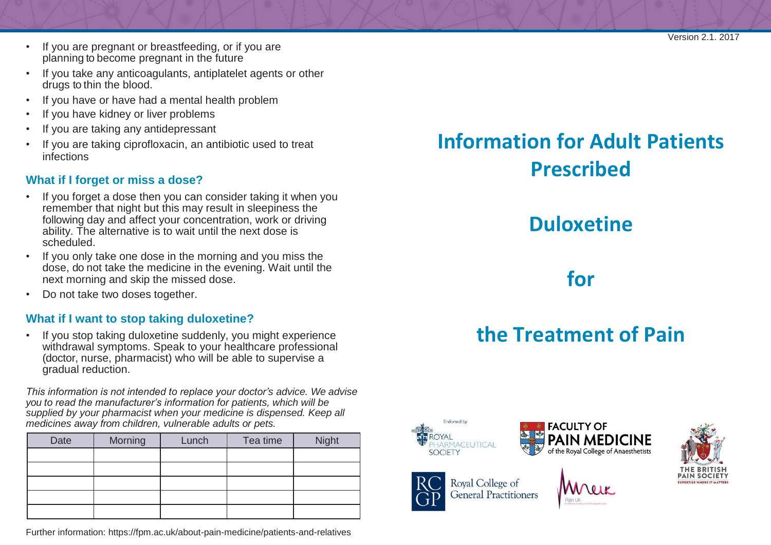- If you are pregnant or breastfeeding, or if you are planning to become pregnant in the future
- If you take any anticoagulants, antiplatelet agents or other drugs to thin the blood.
- If you have or have had a mental health problem
- If you have kidney or liver problems
- If you are taking any antidepressant
- If you are taking ciprofloxacin, an antibiotic used to treat infections

#### **What if I forget or miss a dose?**

- If you forget a dose then you can consider taking it when you remember that night but this may result in sleepiness the following day and affect your concentration, work or driving ability. The alternative is to wait until the next dose is scheduled.
- If you only take one dose in the morning and you miss the dose, do not take the medicine in the evening. Wait until the next morning and skip the missed dose.
- Do not take two doses together.

### **What if I want to stop taking duloxetine?**

• If you stop taking duloxetine suddenly, you might experience withdrawal symptoms. Speak to your healthcare professional (doctor, nurse, pharmacist) who will be able to supervise a gradual reduction.

*This information is not intended to replace your doctor's advice. We advise you to read the manufacturer's information for patients, which will be supplied by your pharmacist when your medicine is dispensed. Keep all medicines away from children, vulnerable adults or pets.*

| Date | Morning | Lunch <sup>®</sup> | Tea time | <b>Night</b> |
|------|---------|--------------------|----------|--------------|
|      |         |                    |          |              |
|      |         |                    |          |              |
|      |         |                    |          |              |
|      |         |                    |          |              |
|      |         |                    |          |              |

Further information: <https://fpm.ac.uk/about-pain-medicine/patients-and-relatives>

# **Information for Adult Patients Prescribed**

# **Duloxetine**

**for**

# **the Treatment of Pain**



Royal College of